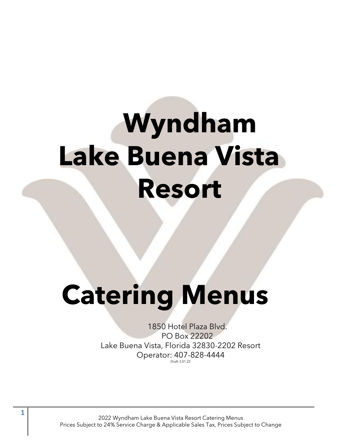# **Wyndham Lake Buena Vista Resort**  $\overline{\phantom{a}}$

# **Catering Menus**

1850 Hotel Plaza Blvd. PO Box 22202 Lake Buena Vista, Florida 32830-2202 Resort Operator: 407-828-4444 Draft 3.01.22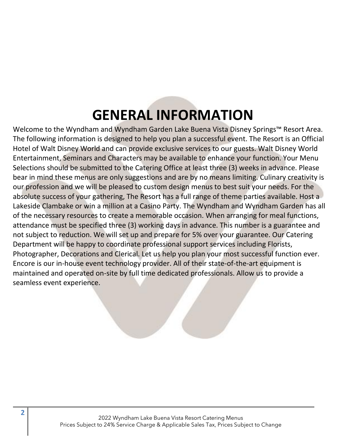# **GENERAL INFORMATION**

Welcome to the Wyndham and Wyndham Garden Lake Buena Vista Disney Springs™ Resort Area. The following information is designed to help you plan a successful event. The Resort is an Official Hotel of Walt Disney World and can provide exclusive services to our guests. Walt Disney World Entertainment, Seminars and Characters may be available to enhance your function. Your Menu Selections should be submitted to the Catering Office at least three (3) weeks in advance. Please bear in mind these menus are only suggestions and are by no means limiting. Culinary creativity is our profession and we will be pleased to custom design menus to best suit your needs. For the absolute success of your gathering, The Resort has a full range of theme parties available. Host a Lakeside Clambake or win a million at a Casino Party. The Wyndham and Wyndham Garden has all of the necessary resources to create a memorable occasion. When arranging for meal functions, attendance must be specified three (3) working days in advance. This number is a guarantee and not subject to reduction. We will set up and prepare for 5% over your guarantee. Our Catering Department will be happy to coordinate professional support services including Florists, Photographer, Decorations and Clerical. Let us help you plan your most successful function ever. Encore is our in-house event technology provider. All of their state-of-the-art equipment is maintained and operated on-site by full time dedicated professionals. Allow us to provide a seamless event experience.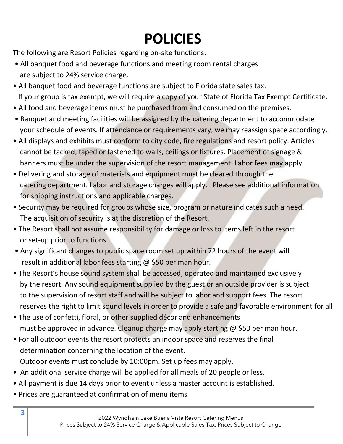# **POLICIES**

The following are Resort Policies regarding on-site functions:

- All banquet food and beverage functions and meeting room rental charges are subject to 24% service charge.
- All banquet food and beverage functions are subject to Florida state sales tax. If your group is tax exempt, we will require a copy of your State of Florida Tax Exempt Certificate.
- All food and beverage items must be purchased from and consumed on the premises.
- Banquet and meeting facilities will be assigned by the catering department to accommodate your schedule of events. If attendance or requirements vary, we may reassign space accordingly.
- All displays and exhibits must conform to city code, fire regulations and resort policy. Articles cannot be tacked, taped or fastened to walls, ceilings or fixtures. Placement of signage & banners must be under the supervision of the resort management. Labor fees may apply.
- Delivering and storage of materials and equipment must be cleared through the catering department. Labor and storage charges will apply. Please see additional information for shipping instructions and applicable charges.
- Security may be required for groups whose size, program or nature indicates such a need. The acquisition of security is at the discretion of the Resort.
- The Resort shall not assume responsibility for damage or loss to items left in the resort or set-up prior to functions.
- Any significant changes to public space room set up within 72 hours of the event will result in additional labor fees starting @ \$50 per man hour.
- The Resort's house sound system shall be accessed, operated and maintained exclusively by the resort. Any sound equipment supplied by the guest or an outside provider is subject to the supervision of resort staff and will be subject to labor and support fees. The resort reserves the right to limit sound levels in order to provide a safe and favorable environment for all
- The use of confetti, floral, or other supplied décor and enhancements must be approved in advance. Cleanup charge may apply starting @ \$50 per man hour.
- For all outdoor events the resort protects an indoor space and reserves the final determination concerning the location of the event. Outdoor events must conclude by 10:00pm. Set up fees may apply.
- An additional service charge will be applied for all meals of 20 people or less.
- All payment is due 14 days prior to event unless a master account is established.
- Prices are guaranteed at confirmation of menu items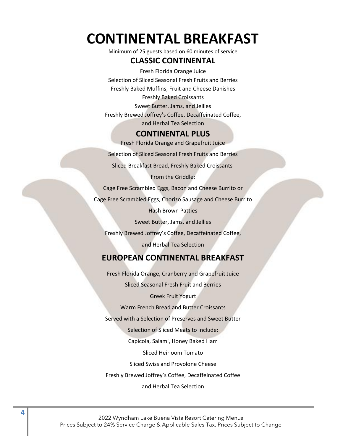# **CONTINENTAL BREAKFAST**

Minimum of 25 guests based on 60 minutes of service

#### **CLASSIC CONTINENTAL**

Fresh Florida Orange Juice Selection of Sliced Seasonal Fresh Fruits and Berries Freshly Baked Muffins, Fruit and Cheese Danishes Freshly Baked Croissants Sweet Butter, Jams, and Jellies Freshly Brewed Joffrey's Coffee, Decaffeinated Coffee, and Herbal Tea Selection

#### **CONTINENTAL PLUS**

Fresh Florida Orange and Grapefruit Juice

Selection of Sliced Seasonal Fresh Fruits and Berries

Sliced Breakfast Bread, Freshly Baked Croissants

From the Griddle:

Cage Free Scrambled Eggs, Bacon and Cheese Burrito or

Cage Free Scrambled Eggs, Chorizo Sausage and Cheese Burrito

Hash Brown Patties

Sweet Butter, Jams, and Jellies

Freshly Brewed Joffrey's Coffee, Decaffeinated Coffee,

and Herbal Tea Selection

#### **EUROPEAN CONTINENTAL BREAKFAST**

Fresh Florida Orange, Cranberry and Grapefruit Juice Sliced Seasonal Fresh Fruit and Berries Greek Fruit Yogurt Warm French Bread and Butter Croissants Served with a Selection of Preserves and Sweet Butter Selection of Sliced Meats to Include: Capicola, Salami, Honey Baked Ham Sliced Heirloom Tomato Sliced Swiss and Provolone Cheese Freshly Brewed Joffrey's Coffee, Decaffeinated Coffee and Herbal Tea Selection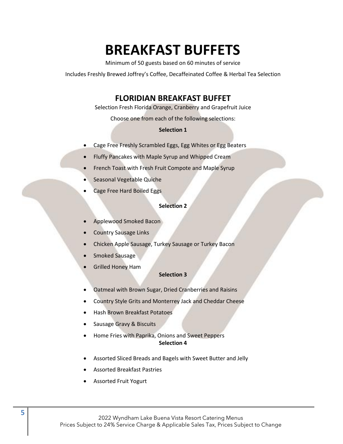# **BREAKFAST BUFFETS**

Minimum of 50 guests based on 60 minutes of service

Includes Freshly Brewed Joffrey's Coffee, Decaffeinated Coffee & Herbal Tea Selection

#### **FLORIDIAN BREAKFAST BUFFET**

Selection Fresh Florida Orange, Cranberry and Grapefruit Juice

Choose one from each of the following selections:

#### **Selection 1**

- Cage Free Freshly Scrambled Eggs, Egg Whites or Egg Beaters
- Fluffy Pancakes with Maple Syrup and Whipped Cream
- French Toast with Fresh Fruit Compote and Maple Syrup
- Seasonal Vegetable Quiche
- Cage Free Hard Boiled Eggs

#### **Selection 2**

- Applewood Smoked Bacon
- Country Sausage Links
- Chicken Apple Sausage, Turkey Sausage or Turkey Bacon
- Smoked Sausage
- Grilled Honey Ham

#### **Selection 3**

- Oatmeal with Brown Sugar, Dried Cranberries and Raisins
- Country Style Grits and Monterrey Jack and Cheddar Cheese
- Hash Brown Breakfast Potatoes
- Sausage Gravy & Biscuits
- Home Fries with Paprika, Onions and Sweet Peppers **Selection 4**
- Assorted Sliced Breads and Bagels with Sweet Butter and Jelly
- Assorted Breakfast Pastries
- Assorted Fruit Yogurt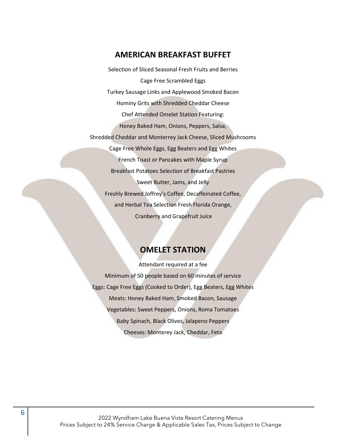#### **AMERICAN BREAKFAST BUFFET**

Selection of Sliced Seasonal Fresh Fruits and Berries Cage Free Scrambled Eggs Turkey Sausage Links and Applewood Smoked Bacon Hominy Grits with Shredded Cheddar Cheese Chef Attended Omelet Station Featuring: Honey Baked Ham, Onions, Peppers, Salsa, Shredded Cheddar and Monterrey Jack Cheese, Sliced Mushrooms Cage Free Whole Eggs, Egg Beaters and Egg Whites French Toast or Pancakes with Maple Syrup Breakfast Potatoes Selection of Breakfast Pastries Sweet Butter, Jams, and Jelly Freshly Brewed Joffrey's Coffee, Decaffeinated Coffee, and Herbal Tea Selection Fresh Florida Orange, Cranberry and Grapefruit Juice

#### **OMELET STATION**

Attendant required at a fee Minimum of 50 people based on 60 minutes of service Eggs: Cage Free Eggs (Cooked to Order), Egg Beaters, Egg Whites Meats: Honey Baked Ham, Smoked Bacon, Sausage Vegetables: Sweet Peppers, Onions, Roma Tomatoes Baby Spinach, Black Olives, Jalapeno Peppers Cheeses: Monterey Jack, Cheddar, Feta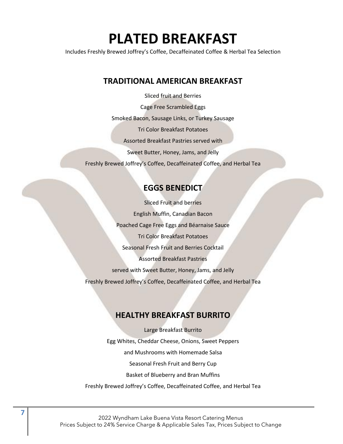# **PLATED BREAKFAST**

Includes Freshly Brewed Joffrey's Coffee, Decaffeinated Coffee & Herbal Tea Selection

#### **TRADITIONAL AMERICAN BREAKFAST**

Sliced fruit and Berries Cage Free Scrambled Eggs Smoked Bacon, Sausage Links, or Turkey Sausage Tri Color Breakfast Potatoes Assorted Breakfast Pastries served with Sweet Butter, Honey, Jams, and Jelly Freshly Brewed Joffrey's Coffee, Decaffeinated Coffee, and Herbal Tea

### **EGGS BENEDICT**

Sliced Fruit and berries English Muffin, Canadian Bacon Poached Cage Free Eggs and Béarnaise Sauce Tri Color Breakfast Potatoes Seasonal Fresh Fruit and Berries Cocktail Assorted Breakfast Pastries served with Sweet Butter, Honey, Jams, and Jelly Freshly Brewed Joffrey's Coffee, Decaffeinated Coffee, and Herbal Tea

### **HEALTHY BREAKFAST BURRITO**

Large Breakfast Burrito Egg Whites, Cheddar Cheese, Onions, Sweet Peppers and Mushrooms with Homemade Salsa Seasonal Fresh Fruit and Berry Cup Basket of Blueberry and Bran Muffins Freshly Brewed Joffrey's Coffee, Decaffeinated Coffee, and Herbal Tea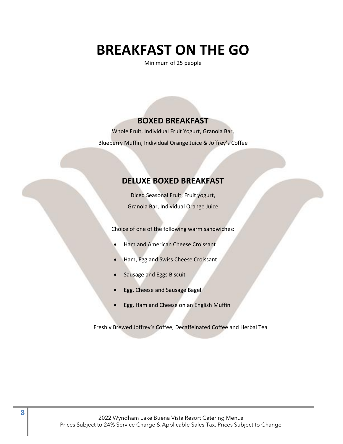# **BREAKFAST ON THE GO**

Minimum of 25 people

#### **BOXED BREAKFAST**

Whole Fruit, Individual Fruit Yogurt, Granola Bar, Blueberry Muffin, Individual Orange Juice & Joffrey's Coffee

#### **DELUXE BOXED BREAKFAST**

Diced Seasonal Fruit, Fruit yogurt, Granola Bar, Individual Orange Juice

Choice of one of the following warm sandwiches:

- Ham and American Cheese Croissant
- Ham, Egg and Swiss Cheese Croissant
- Sausage and Eggs Biscuit
- Egg, Cheese and Sausage Bagel
- Egg, Ham and Cheese on an English Muffin

Freshly Brewed Joffrey's Coffee, Decaffeinated Coffee and Herbal Tea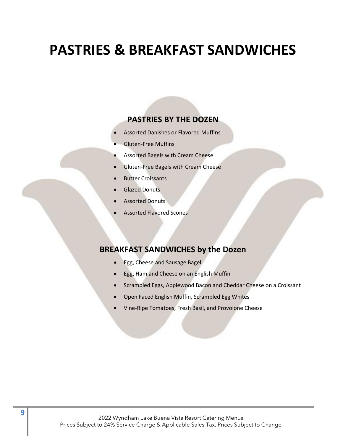# **PASTRIES & BREAKFAST SANDWICHES**

#### **PASTRIES BY THE DOZEN**

- Assorted Danishes or Flavored Muffins
- Gluten-Free Muffins
- Assorted Bagels with Cream Cheese
- Gluten-Free Bagels with Cream Cheese
- **Butter Croissants**
- Glazed Donuts
- **Assorted Donuts**
- Assorted Flavored Scones

#### **BREAKFAST SANDWICHES by the Dozen**

- Egg, Cheese and Sausage Bagel
- Egg, Ham and Cheese on an English Muffin
- Scrambled Eggs, Applewood Bacon and Cheddar Cheese on a Croissant
- Open Faced English Muffin, Scrambled Egg Whites
- Vine-Ripe Tomatoes, Fresh Basil, and Provolone Cheese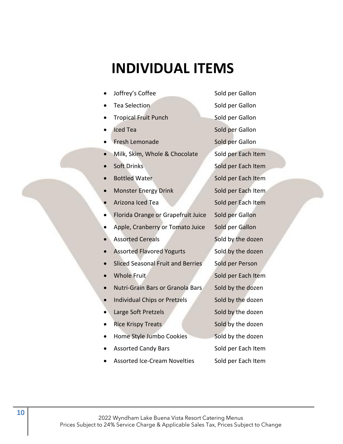# **INDIVIDUAL ITEMS**

- **Joffrey's Coffee Sold per Gallon**
- 
- **Fropical Fruit Punch Sold per Gallon**
- 
- Fresh Lemonade Sold per Gallon
- Milk, Skim, Whole & Chocolate Sold per Each Item
- 
- 
- **Monster Energy Drink Sold per Each Item**
- 
- Florida Orange or Grapefruit Juice Sold per Gallon
- Apple, Cranberry or Tomato Juice Sold per Gallon
- 
- Assorted Flavored Yogurts Sold by the dozen
- Sliced Seasonal Fruit and Berries Sold per Person
- 
- Nutri-Grain Bars or Granola Bars Sold by the dozen
- Individual Chips or Pretzels Sold by the dozen
- **Large Soft Pretzels** Sold by the dozen
- 
- Home Style Jumbo Cookies Sold by the dozen
- 
- Assorted Ice-Cream Novelties Sold per Each Item

**France Selection** Sold per Gallon **Iced Tea** Sold per Gallon **• Soft Drinks** Sold per Each Item **• Bottled Water Sold per Each Item** Arizona Iced Tea Sold per Each Item Assorted Cereals **Example 20 Sold by the dozen • Whole Fruit Sold per Each Item Fice Krispy Treats** Sold by the dozen Assorted Candy Bars Sold per Each Item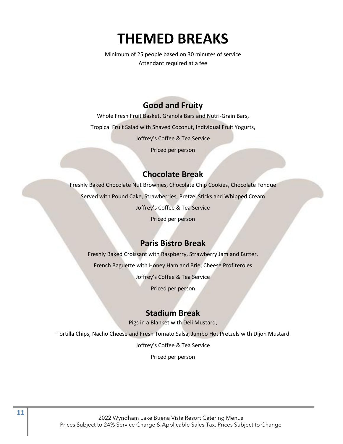# **THEMED BREAKS**

Minimum of 25 people based on 30 minutes of service Attendant required at a fee

# **Good and Fruity**

Whole Fresh Fruit Basket, Granola Bars and Nutri-Grain Bars, Tropical Fruit Salad with Shaved Coconut, Individual Fruit Yogurts, Joffrey's Coffee & Tea Service

Priced per person

# **Chocolate Break**

Freshly Baked Chocolate Nut Brownies, Chocolate Chip Cookies, Chocolate Fondue Served with Pound Cake, Strawberries, Pretzel Sticks and Whipped Cream Joffrey's Coffee & Tea Service Priced per person

# **Paris Bistro Break**

Freshly Baked Croissant with Raspberry, Strawberry Jam and Butter, French Baguette with Honey Ham and Brie, Cheese Profiteroles

Joffrey's Coffee & Tea Service

Priced per person

### **Stadium Break**

Pigs in a Blanket with Deli Mustard,

Tortilla Chips, Nacho Cheese and Fresh Tomato Salsa, Jumbo Hot Pretzels with Dijon Mustard

Joffrey's Coffee & Tea Service

Priced per person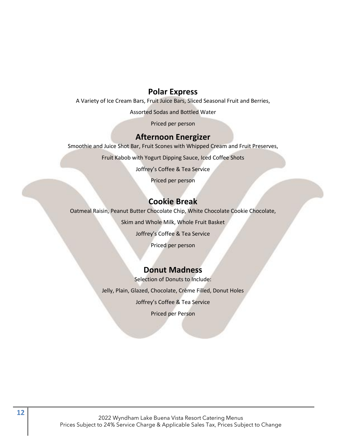#### **Polar Express**

A Variety of Ice Cream Bars, Fruit Juice Bars, Sliced Seasonal Fruit and Berries,

Assorted Sodas and Bottled Water

Priced per person

#### **Afternoon Energizer**

Smoothie and Juice Shot Bar, Fruit Scones with Whipped Cream and Fruit Preserves,

Fruit Kabob with Yogurt Dipping Sauce, Iced Coffee Shots

Joffrey's Coffee & Tea Service

Priced per person

#### **Cookie Break**

Oatmeal Raisin, Peanut Butter Chocolate Chip, White Chocolate Cookie Chocolate,

Skim and Whole Milk, Whole Fruit Basket

Joffrey's Coffee & Tea Service

Priced per person

#### **Donut Madness**

Selection of Donuts to Include:

Jelly, Plain, Glazed, Chocolate, Crème Filled, Donut Holes

Joffrey's Coffee & Tea Service

Priced per Person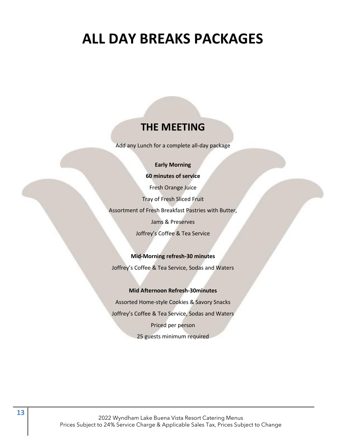# **ALL DAY BREAKS PACKAGES**

# **THE MEETING**

Add any Lunch for a complete all-day package

#### **Early Morning**

**60 minutes of service**

Fresh Orange Juice

Tray of Fresh Sliced Fruit

Assortment of Fresh Breakfast Pastries with Butter,

Jams & Preserves

Joffrey's Coffee & Tea Service

#### **Mid-Morning refresh-30 minutes**

Joffrey's Coffee & Tea Service, Sodas and Waters

#### **Mid Afternoon Refresh-30minutes**

Assorted Home-style Cookies & Savory Snacks Joffrey's Coffee & Tea Service, Sodas and Waters Priced per person 25 guests minimum required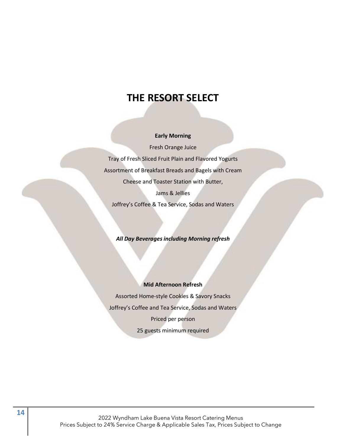# **THE RESORT SELECT**

#### **Early Morning**

Fresh Orange Juice Tray of Fresh Sliced Fruit Plain and Flavored Yogurts Assortment of Breakfast Breads and Bagels with Cream Cheese and Toaster Station with Butter, Jams & Jellies

Joffrey's Coffee & Tea Service, Sodas and Waters

*All Day Beverages including Morning refresh*

#### **Mid Afternoon Refresh**

Assorted Home-style Cookies & Savory Snacks Joffrey's Coffee and Tea Service, Sodas and Waters Priced per person 25 guests minimum required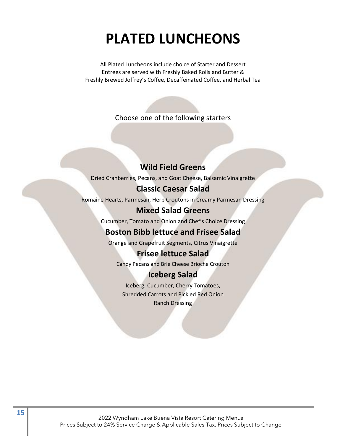# **PLATED LUNCHEONS**

All Plated Luncheons include choice of Starter and Dessert Entrees are served with Freshly Baked Rolls and Butter & Freshly Brewed Joffrey's Coffee, Decaffeinated Coffee, and Herbal Tea

Choose one of the following starters

### **Wild Field Greens**

Dried Cranberries, Pecans, and Goat Cheese, Balsamic Vinaigrette

#### **Classic Caesar Salad**

Romaine Hearts, Parmesan, Herb Croutons in Creamy Parmesan Dressing

#### **Mixed Salad Greens**

Cucumber, Tomato and Onion and Chef's Choice Dressing

### **Boston Bibb lettuce and Frisee Salad**

Orange and Grapefruit Segments, Citrus Vinaigrette

#### **Frisee lettuce Salad**

Candy Pecans and Brie Cheese Brioche Crouton

#### **Iceberg Salad**

Iceberg, Cucumber, Cherry Tomatoes, Shredded Carrots and Pickled Red Onion Ranch Dressing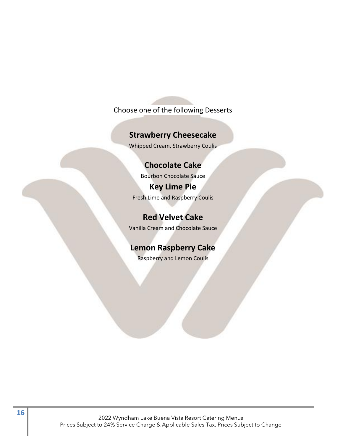### Choose one of the following Desserts

#### **Strawberry Cheesecake**

Whipped Cream, Strawberry Coulis

#### **Chocolate Cake**

Bourbon Chocolate Sauce **Key Lime Pie** Fresh Lime and Raspberry Coulis

**Red Velvet Cake** Vanilla Cream and Chocolate Sauce

# **Lemon Raspberry Cake**

Raspberry and Lemon Coulis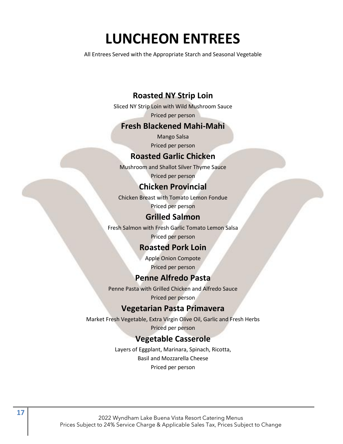# **LUNCHEON ENTREES**

All Entrees Served with the Appropriate Starch and Seasonal Vegetable

### **Roasted NY Strip Loin**

Sliced NY Strip Loin with Wild Mushroom Sauce Priced per person

#### **Fresh Blackened Mahi-Mahi**

Mango Salsa Priced per person

#### **Roasted Garlic Chicken**

Mushroom and Shallot Silver Thyme Sauce

Priced per person

#### **Chicken Provincial**

Chicken Breast with Tomato Lemon Fondue Priced per person

#### **Grilled Salmon**

Fresh Salmon with Fresh Garlic Tomato Lemon Salsa

Priced per person

### **Roasted Pork Loin**

Apple Onion Compote Priced per person

### **Penne Alfredo Pasta**

Penne Pasta with Grilled Chicken and Alfredo Sauce Priced per person

#### **Vegetarian Pasta Primavera**

Market Fresh Vegetable, Extra Virgin Olive Oil, Garlic and Fresh Herbs

Priced per person

#### **Vegetable Casserole**

Layers of Eggplant, Marinara, Spinach, Ricotta, Basil and Mozzarella Cheese Priced per person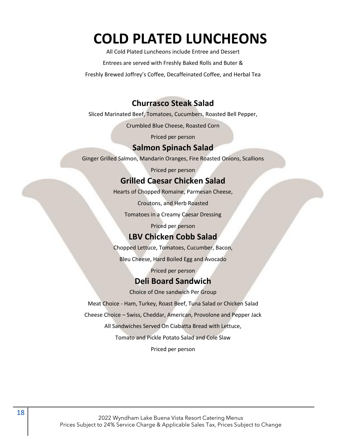# **COLD PLATED LUNCHEONS**

All Cold Plated Luncheons include Entree and Dessert

Entrees are served with Freshly Baked Rolls and Buter &

Freshly Brewed Joffrey's Coffee, Decaffeinated Coffee, and Herbal Tea

### **Churrasco Steak Salad**

Sliced Marinated Beef, Tomatoes, Cucumbers, Roasted Bell Pepper,

Crumbled Blue Cheese, Roasted Corn

Priced per person

#### **Salmon Spinach Salad**

Ginger Grilled Salmon, Mandarin Oranges, Fire Roasted Onions, Scallions

Priced per person

#### **Grilled Caesar Chicken Salad**

Hearts of Chopped Romaine, Parmesan Cheese,

Croutons, and Herb Roasted

Tomatoes in a Creamy Caesar Dressing

Priced per person

#### **LBV Chicken Cobb Salad**

Chopped Lettuce, Tomatoes, Cucumber, Bacon,

Bleu Cheese, Hard Boiled Egg and Avocado

Priced per person

#### **Deli Board Sandwich**

Choice of One sandwich Per Group

Meat Choice - Ham, Turkey, Roast Beef, Tuna Salad or Chicken Salad

Cheese Choice – Swiss, Cheddar, American, Provolone and Pepper Jack

All Sandwiches Served On Ciabatta Bread with Lettuce,

Tomato and Pickle Potato Salad and Cole Slaw

Priced per person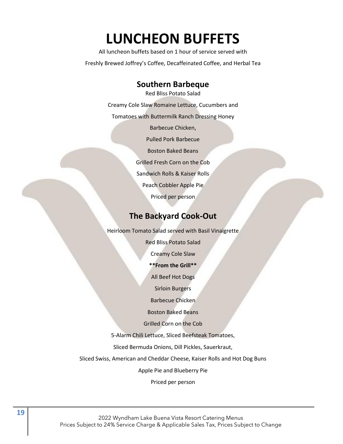# **LUNCHEON BUFFETS**

All luncheon buffets based on 1 hour of service served with Freshly Brewed Joffrey's Coffee, Decaffeinated Coffee, and Herbal Tea

#### **Southern Barbeque**

Red Bliss Potato Salad Creamy Cole Slaw Romaine Lettuce, Cucumbers and Tomatoes with Buttermilk Ranch Dressing Honey Barbecue Chicken, Pulled Pork Barbecue Boston Baked Beans Grilled Fresh Corn on the Cob Sandwich Rolls & Kaiser Rolls Peach Cobbler Apple Pie Priced per person

### **The Backyard Cook-Out**

Heirloom Tomato Salad served with Basil Vinaigrette

Red Bliss Potato Salad Creamy Cole Slaw **\*\*From the Grill\*\*** All Beef Hot Dogs Sirloin Burgers Barbecue Chicken Boston Baked Beans Grilled Corn on the Cob 5-Alarm Chili Lettuce, Sliced Beefsteak Tomatoes, Sliced Bermuda Onions, Dill Pickles, Sauerkraut, Sliced Swiss, American and Cheddar Cheese, Kaiser Rolls and Hot Dog Buns

Apple Pie and Blueberry Pie

Priced per person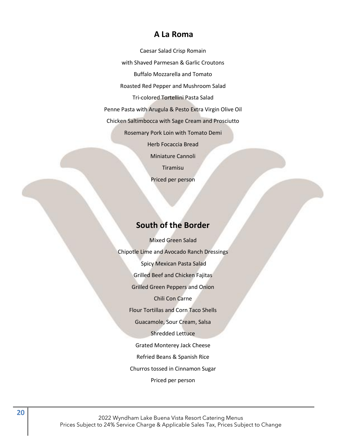#### **A La Roma**

Caesar Salad Crisp Romain with Shaved Parmesan & Garlic Croutons Buffalo Mozzarella and Tomato Roasted Red Pepper and Mushroom Salad Tri-colored Tortellini Pasta Salad Penne Pasta with Arugula & Pesto Extra Virgin Olive Oil Chicken Saltimbocca with Sage Cream and Prosciutto Rosemary Pork Loin with Tomato Demi Herb Focaccia Bread Miniature Cannoli Tiramisu Priced per person

### **South of the Border**

Mixed Green Salad Chipotle Lime and Avocado Ranch Dressings Spicy Mexican Pasta Salad Grilled Beef and Chicken Fajitas Grilled Green Peppers and Onion Chili Con Carne Flour Tortillas and Corn Taco Shells Guacamole, Sour Cream, Salsa Shredded Lettuce Grated Monterey Jack Cheese Refried Beans & Spanish Rice Churros tossed in Cinnamon Sugar Priced per person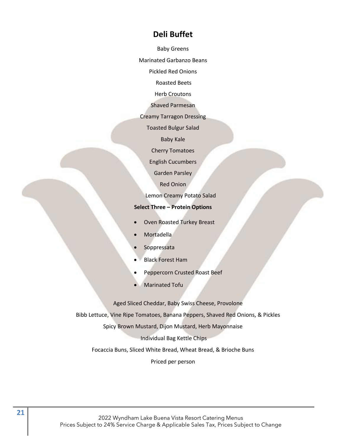#### **Deli Buffet**

Baby Greens

Marinated Garbanzo Beans

Pickled Red Onions

Roasted Beets

Herb Croutons

Shaved Parmesan

Creamy Tarragon Dressing

Toasted Bulgur Salad

Baby Kale

Cherry Tomatoes

English Cucumbers

Garden Parsley

Red Onion

Lemon Creamy Potato Salad

#### **Select Three – Protein Options**

- Oven Roasted Turkey Breast
- Mortadella
- **Soppressata**
- Black Forest Ham
- Peppercorn Crusted Roast Beef
- Marinated Tofu

Aged Sliced Cheddar, Baby Swiss Cheese, Provolone

Bibb Lettuce, Vine Ripe Tomatoes, Banana Peppers, Shaved Red Onions, & Pickles

Spicy Brown Mustard, Dijon Mustard, Herb Mayonnaise

Individual Bag Kettle Chips

Focaccia Buns, Sliced White Bread, Wheat Bread, & Brioche Buns

Priced per person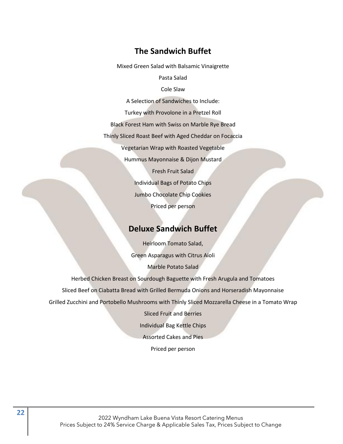#### **The Sandwich Buffet**

Mixed Green Salad with Balsamic Vinaigrette

Pasta Salad

Cole Slaw

A Selection of Sandwiches to Include:

Turkey with Provolone in a Pretzel Roll

Black Forest Ham with Swiss on Marble Rye Bread

Thinly Sliced Roast Beef with Aged Cheddar on Focaccia

Vegetarian Wrap with Roasted Vegetable

Hummus Mayonnaise & Dijon Mustard

Fresh Fruit Salad Individual Bags of Potato Chips Jumbo Chocolate Chip Cookies Priced per person

#### **Deluxe Sandwich Buffet**

Heirloom Tomato Salad, Green Asparagus with Citrus Aioli Marble Potato Salad

Herbed Chicken Breast on Sourdough Baguette with Fresh Arugula and Tomatoes Sliced Beef on Ciabatta Bread with Grilled Bermuda Onions and Horseradish Mayonnaise Grilled Zucchini and Portobello Mushrooms with Thinly Sliced Mozzarella Cheese in a Tomato Wrap

> Sliced Fruit and Berries Individual Bag Kettle Chips Assorted Cakes and Pies Priced per person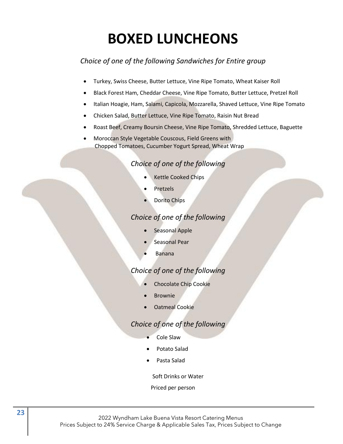# **BOXED LUNCHEONS**

### *Choice of one of the following Sandwiches for Entire group*

- Turkey, Swiss Cheese, Butter Lettuce, Vine Ripe Tomato, Wheat Kaiser Roll
- Black Forest Ham, Cheddar Cheese, Vine Ripe Tomato, Butter Lettuce, Pretzel Roll
- Italian Hoagie, Ham, Salami, Capicola, Mozzarella, Shaved Lettuce, Vine Ripe Tomato
- Chicken Salad, Butter Lettuce, Vine Ripe Tomato, Raisin Nut Bread
- Roast Beef, Creamy Boursin Cheese, Vine Ripe Tomato, Shredded Lettuce, Baguette
- Moroccan Style Vegetable Couscous, Field Greens with Chopped Tomatoes, Cucumber Yogurt Spread, Wheat Wrap

#### *Choice of one of the following*

- Kettle Cooked Chips
- **Pretzels**
- Dorito Chips

#### *Choice of one of the following*

- Seasonal Apple
- Seasonal Pear
- Banana

#### *Choice of one of the following*

- Chocolate Chip Cookie
- **Brownie**
- Oatmeal Cookie

#### *Choice of one of the following*

- Cole Slaw
- Potato Salad
- Pasta Salad

Soft Drinks or Water

#### Priced per person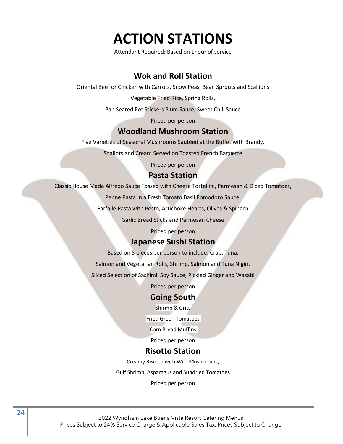# **ACTION STATIONS**

Attendant Required*;* Based on 1hour of service

# **Wok and Roll Station**

Oriental Beef or Chicken with Carrots, Snow Peas, Bean Sprouts and Scallions

Vegetable Fried Rice, Spring Rolls,

Pan Seared Pot Stickers Plum Sauce, Sweet Chili Sauce

Priced per person

#### **Woodland Mushroom Station**

Five Varieties of Seasonal Mushrooms Sautéed at the Buffet with Brandy,

Shallots and Cream Served on Toasted French Baguette

Priced per person

#### **Pasta Station**

Classic House Made Alfredo Sauce Tossed with Cheese Tortellini, Parmesan & Diced Tomatoes,

Penne Pasta in a Fresh Tomato Basil Pomodoro Sauce,

Farfalle Pasta with Pesto, Artichoke Hearts, Olives & Spinach

Garlic Bread Sticks and Parmesan Cheese

Priced per person

#### **Japanese Sushi Station**

Based on 5 pieces per person to include: Crab, Tuna,

Salmon and Vegetarian Rolls, Shrimp, Salmon and Tuna Nigiri.

Sliced Selection of Sashimi. Soy Sauce, Pickled Ginger and Wasabi

Priced per person

#### **Going South**

Shirmp & Grits

Fried Green Tomatoes

Corn Bread Muffins

Priced per person

#### **Risotto Station**

Creamy Risotto with Wild Mushrooms,

Gulf Shrimp, Asparagus and Sundried Tomatoes

Priced per person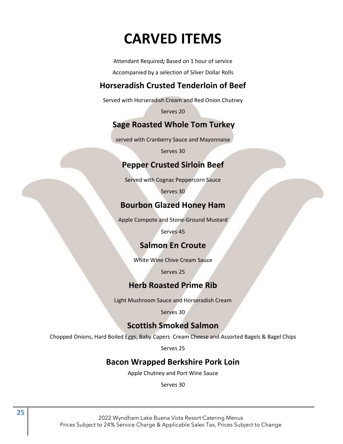# **CARVED ITEMS**

Attendant Required*;* Based on 1 hour of service

Accompanied by a selection of Silver Dollar Rolls

# **Horseradish Crusted Tenderloin of Beef**

Served with Horseradish Cream and Red Onion Chutney

Serves 20

# **Sage Roasted Whole Tom Turkey**

served with Cranberry Sauce and Mayonnaise

Serves 30

### **Pepper Crusted Sirloin Beef**

Served with Cognac Peppercorn Sauce

Serves 30

# **Bourbon Glazed Honey Ham**

Apple Compote and Stone-Ground Mustard

Serves 45

# **Salmon En Croute**

White Wine Chive Cream Sauce

Serves 25

### **Herb Roasted Prime Rib**

Light Mushroom Sauce and Horseradish Cream

Serves 30

# **Scottish Smoked Salmon**

Chopped Onions, Hard Boiled Eggs, Baby Capers Cream Cheese and Assorted Bagels & Bagel Chips

Serves 25

# **Bacon Wrapped Berkshire Pork Loin**

Apple Chutney and Port Wine Sauce

Serves 30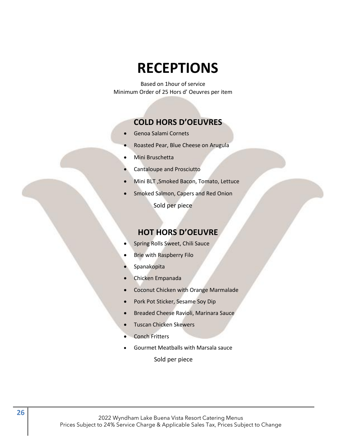# **RECEPTIONS**

Based on 1hour of service Minimum Order of 25 Hors d' Oeuvres per item

#### **COLD HORS D'OEUVRES**

- Genoa Salami Cornets
- Roasted Pear, Blue Cheese on Arugula
- Mini Bruschetta
- Cantaloupe and Prosciutto
- Mini BLT ,Smoked Bacon, Tomato, Lettuce
- Smoked Salmon, Capers and Red Onion

Sold per piece

#### **HOT HORS D'OEUVRE**

- Spring Rolls Sweet, Chili Sauce
- Brie with Raspberry Filo
- Spanakopita
- Chicken Empanada
- Coconut Chicken with Orange Marmalade
- Pork Pot Sticker, Sesame Soy Dip
- Breaded Cheese Ravioli, Marinara Sauce
- Tuscan Chicken Skewers
- Conch Fritters
- Gourmet Meatballs with Marsala sauce

Sold per piece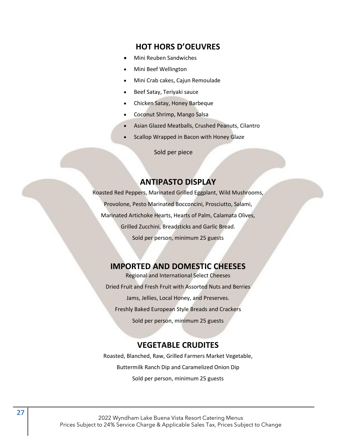#### **HOT HORS D'OEUVRES**

- Mini Reuben Sandwiches
- Mini Beef Wellington
- Mini Crab cakes, Cajun Remoulade
- Beef Satay, Teriyaki sauce
- Chicken Satay, Honey Barbeque
- Coconut Shrimp, Mango Salsa
- Asian Glazed Meatballs, Crushed Peanuts, Cilantro
- Scallop Wrapped in Bacon with Honey Glaze

Sold per piece

#### **ANTIPASTO DISPLAY**

Roasted Red Peppers, Marinated Grilled Eggplant, Wild Mushrooms, Provolone, Pesto Marinated Bocconcini, Prosciutto, Salami, Marinated Artichoke Hearts, Hearts of Palm, Calamata Olives, Grilled Zucchini, Breadsticks and Garlic Bread. Sold per person, minimum 25 guests

#### **IMPORTED AND DOMESTIC CHEESES**

Regional and International Select Cheeses Dried Fruit and Fresh Fruit with Assorted Nuts and Berries Jams, Jellies, Local Honey, and Preserves. Freshly Baked European Style Breads and Crackers Sold per person, minimum 25 guests

#### **VEGETABLE CRUDITES**

Roasted, Blanched, Raw, Grilled Farmers Market Vegetable, Buttermilk Ranch Dip and Caramelized Onion Dip Sold per person, minimum 25 guests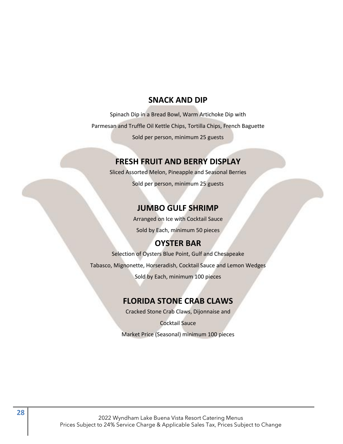#### **SNACK AND DIP**

Spinach Dip in a Bread Bowl, Warm Artichoke Dip with Parmesan and Truffle Oil Kettle Chips, Tortilla Chips, French Baguette Sold per person, minimum 25 guests

#### **FRESH FRUIT AND BERRY DISPLAY**

Sliced Assorted Melon, Pineapple and Seasonal Berries Sold per person, minimum 25 guests

### **JUMBO GULF SHRIMP**

Arranged on Ice with Cocktail Sauce Sold by Each, minimum 50 pieces

# **OYSTER BAR**

Selection of Oysters Blue Point, Gulf and Chesapeake

Tabasco, Mignonette, Horseradish, Cocktail Sauce and Lemon Wedges

Sold by Each, minimum 100 pieces

### **FLORIDA STONE CRAB CLAWS**

Cracked Stone Crab Claws, Dijonnaise and

Cocktail Sauce Market Price (Seasonal) minimum 100 pieces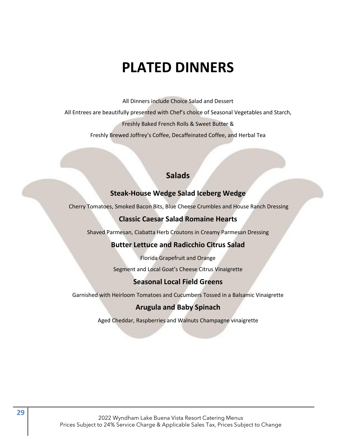# **PLATED DINNERS**

All Dinners include Choice Salad and Dessert

All Entrees are beautifully presented with Chef's choice of Seasonal Vegetables and Starch, Freshly Baked French Rolls & Sweet Butter &

Freshly Brewed Joffrey's Coffee, Decaffeinated Coffee, and Herbal Tea

# **Salads**

#### **Steak-House Wedge Salad Iceberg Wedge**

Cherry Tomatoes, Smoked Bacon Bits, Blue Cheese Crumbles and House Ranch Dressing

#### **Classic Caesar Salad Romaine Hearts**

Shaved Parmesan, Ciabatta Herb Croutons in Creamy Parmesan Dressing

#### **Butter Lettuce and Radicchio Citrus Salad**

Florida Grapefruit and Orange

Segment and Local Goat's Cheese Citrus Vinaigrette

#### **Seasonal Local Field Greens**

Garnished with Heirloom Tomatoes and Cucumbers Tossed in a Balsamic Vinaigrette

#### **Arugula and Baby Spinach**

Aged Cheddar, Raspberries and Walnuts Champagne vinaigrette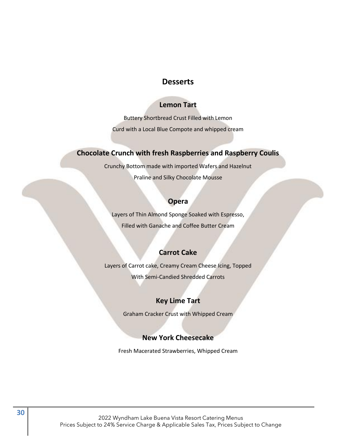#### **Desserts**

#### **Lemon Tart**

Buttery Shortbread Crust Filled with Lemon Curd with a Local Blue Compote and whipped cream

#### **Chocolate Crunch with fresh Raspberries and Raspberry Coulis**

Crunchy Bottom made with imported Wafers and Hazelnut Praline and Silky Chocolate Mousse

#### **Opera**

Layers of Thin Almond Sponge Soaked with Espresso, Filled with Ganache and Coffee Butter Cream

#### **Carrot Cake**

Layers of Carrot cake, Creamy Cream Cheese Icing, Topped With Semi-Candied Shredded Carrots

#### **Key Lime Tart**

Graham Cracker Crust with Whipped Cream

#### **New York Cheesecake**

Fresh Macerated Strawberries, Whipped Cream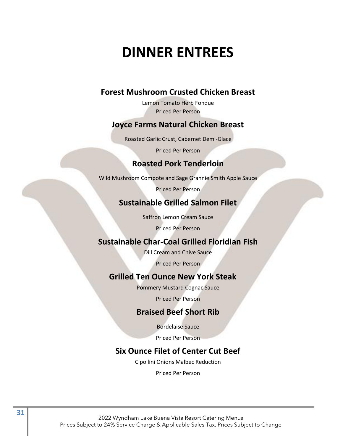# **DINNER ENTREES**

# **Forest Mushroom Crusted Chicken Breast**

Lemon Tomato Herb Fondue Priced Per Person

### **Joyce Farms Natural Chicken Breast**

Roasted Garlic Crust, Cabernet Demi-Glace

Priced Per Person

### **Roasted Pork Tenderloin**

Wild Mushroom Compote and Sage Grannie Smith Apple Sauce

Priced Per Person

# **Sustainable Grilled Salmon Filet**

Saffron Lemon Cream Sauce

Priced Per Person

### **Sustainable Char-Coal Grilled Floridian Fish**

Dill Cream and Chive Sauce

Priced Per Person

### **Grilled Ten Ounce New York Steak**

Pommery Mustard Cognac Sauce

Priced Per Person

#### **Braised Beef Short Rib**

Bordelaise Sauce

Priced Per Person

# **Six Ounce Filet of Center Cut Beef**

Cipollini Onions Malbec Reduction

Priced Per Person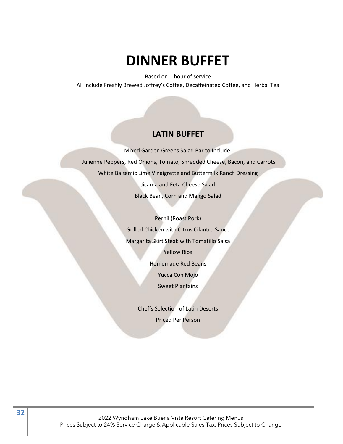# **DINNER BUFFET**

Based on 1 hour of service All include Freshly Brewed Joffrey's Coffee, Decaffeinated Coffee, and Herbal Tea

#### **LATIN BUFFET**

Mixed Garden Greens Salad Bar to Include: Julienne Peppers, Red Onions, Tomato, Shredded Cheese, Bacon, and Carrots White Balsamic Lime Vinaigrette and Buttermilk Ranch Dressing Jicama and Feta Cheese Salad Black Bean, Corn and Mango Salad

> Pernil (Roast Pork) Grilled Chicken with Citrus Cilantro Sauce Margarita Skirt Steak with Tomatillo Salsa Yellow Rice Homemade Red Beans Yucca Con Mojo Sweet Plantains

> > Chef's Selection of Latin Deserts Priced Per Person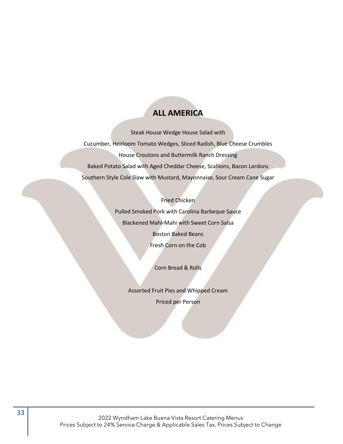# **ALL AMERICA**

Steak House Wedge House Salad with Cucumber, Heirloom Tomato Wedges, Sliced Radish, Blue Cheese Crumbles House Croutons and Buttermilk Ranch Dressing Baked Potato Salad with Aged Cheddar Cheese, Scallions, Bacon Lardons Southern Style Cole Slaw with Mustard, Mayonnaise, Sour Cream Cane Sugar

#### Fried Chicken

Pulled Smoked Pork with Carolina Barbeque Sauce Blackened Mahi-Mahi with Sweet Corn Salsa Boston Baked Beans Fresh Corn on the Cob

Corn Bread & Rolls

Assorted Fruit Pies and Whipped Cream Priced per Person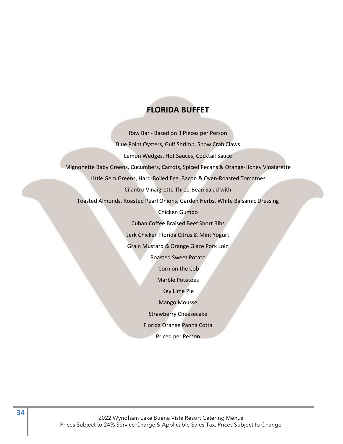# **FLORIDA BUFFET**

Raw Bar - Based on 3 Pieces per Person Blue Point Oysters, Gulf Shrimp, Snow Crab Claws Lemon Wedges, Hot Sauces, Cocktail Sauce Mignonette Baby Greens, Cucumbers, Carrots, Spiced Pecans & Orange-Honey Vinaigrette Little Gem Greens, Hard-Boiled Egg, Bacon & Oven-Roasted Tomatoes Cilantro Vinaigrette Three-Bean Salad with Toasted Almonds, Roasted Pearl Onions, Garden Herbs, White Balsamic Dressing Chicken Gumbo Cuban Coffee Braised Beef Short Ribs Jerk Chicken Florida Citrus & Mint Yogurt Grain Mustard & Orange Glaze Pork Loin Roasted Sweet Potato Corn on the Cob Marble Potatoes Key Lime Pie Mango Mousse Strawberry Cheesecake Florida Orange Panna Cotta Priced per Person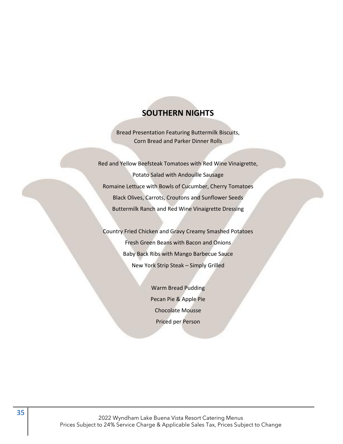### **SOUTHERN NIGHTS**

Bread Presentation Featuring Buttermilk Biscuits, Corn Bread and Parker Dinner Rolls

Red and Yellow Beefsteak Tomatoes with Red Wine Vinaigrette, Potato Salad with Andouille Sausage Romaine Lettuce with Bowls of Cucumber, Cherry Tomatoes Black Olives, Carrots, Croutons and Sunflower Seeds Buttermilk Ranch and Red Wine Vinaigrette Dressing

Country Fried Chicken and Gravy Creamy Smashed Potatoes Fresh Green Beans with Bacon and Onions Baby Back Ribs with Mango Barbecue Sauce New York Strip Steak – Simply Grilled

> Warm Bread Pudding Pecan Pie & Apple Pie Chocolate Mousse Priced per Person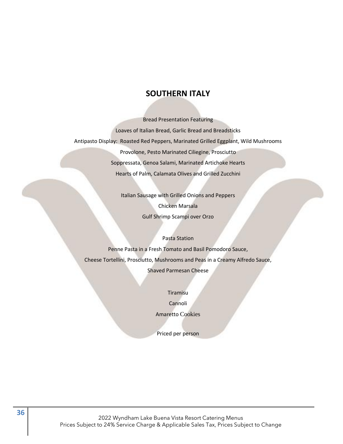#### **SOUTHERN ITALY**

Bread Presentation Featuring Loaves of Italian Bread, Garlic Bread and Breadsticks Antipasto Display: Roasted Red Peppers, Marinated Grilled Eggplant, Wild Mushrooms Provolone, Pesto Marinated Ciliegine, Prosciutto Soppressata, Genoa Salami, Marinated Artichoke Hearts Hearts of Palm, Calamata Olives and Grilled Zucchini

> Italian Sausage with Grilled Onions and Peppers Chicken Marsala Gulf Shrimp Scampi over Orzo

Pasta Station Penne Pasta in a Fresh Tomato and Basil Pomodoro Sauce, Cheese Tortellini, Prosciutto, Mushrooms and Peas in a Creamy Alfredo Sauce, Shaved Parmesan Cheese

> Tiramisu Cannoli Amaretto Cookies

Priced per person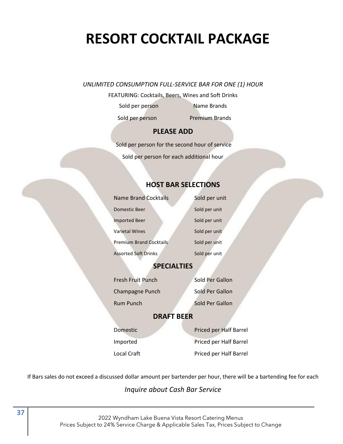# **RESORT COCKTAIL PACKAGE**

#### *UNLIMITED CONSUMPTION FULL-SERVICE BAR FOR ONE (1) HOUR*

FEATURING: Cocktails, Beers, Wines and Soft Drinks

Sold per person Name Brands

Sold per person Premium Brands

#### **PLEASE ADD**

 Sold per person for the second hour of service Sold per person for each additional hour

#### **HOST BAR SELECTIONS**

| Name Brand Cocktails           | Sold per unit |
|--------------------------------|---------------|
| Domestic Beer                  | Sold per unit |
| <b>Imported Beer</b>           | Sold per unit |
| <b>Varietal Wines</b>          | Sold per unit |
| <b>Premium Brand Cocktails</b> | Sold per unit |
| <b>Assorted Soft Drinks</b>    | Sold per unit |

#### **SPECIALTIES**

Fresh Fruit Punch Sold Per Gallon Champagne Punch Sold Per Gallon Rum Punch Sold Per Gallon

#### **DRAFT BEER**

Domestic **Priced per Half Barrel** Imported Priced per Half Barrel Local Craft **Priced per Half Barrel** 

If Bars sales do not exceed a discussed dollar amount per bartender per hour, there will be a bartending fee for each

*Inquire about Cash Bar Service*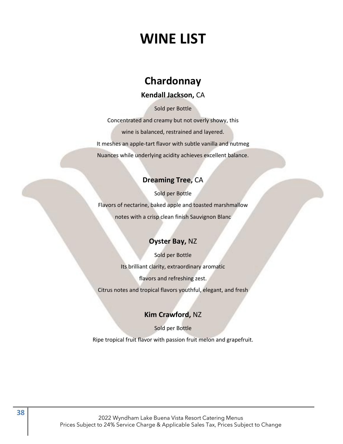# **WINE LIST**

# **Chardonnay**

#### **Kendall Jackson,** CA

Sold per Bottle

Concentrated and creamy but not overly showy, this wine is balanced, restrained and layered. It meshes an apple-tart flavor with subtle vanilla and nutmeg Nuances while underlying acidity achieves excellent balance.

#### **Dreaming Tree,** CA

Sold per Bottle Flavors of nectarine, baked apple and toasted marshmallow notes with a crisp clean finish Sauvignon Blanc

### **Oyster Bay,** NZ

Sold per Bottle Its brilliant clarity, extraordinary aromatic flavors and refreshing zest. Citrus notes and tropical flavors youthful, elegant, and fresh

#### **Kim Crawford,** NZ

Sold per Bottle Ripe tropical fruit flavor with passion fruit melon and grapefruit.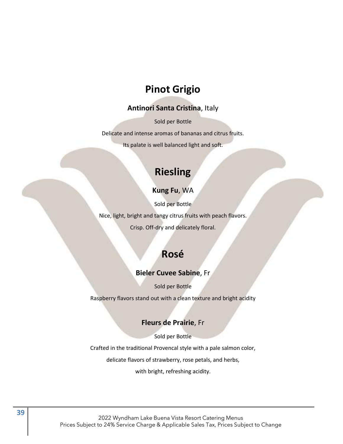# **Pinot Grigio**

#### **Antinori Santa Cristina**, Italy

Sold per Bottle

Delicate and intense aromas of bananas and citrus fruits.

Its palate is well balanced light and soft.

# **Riesling**

#### **Kung Fu**, WA

Sold per Bottle

Nice, light, bright and tangy citrus fruits with peach flavors.

Crisp. Off-dry and delicately floral.

# **Rosé**

#### **Bieler Cuvee Sabine**, Fr

Sold per Bottle

Raspberry flavors stand out with a clean texture and bright acidity

#### **Fleurs de Prairie**, Fr

Sold per Bottle

Crafted in the traditional Provencal style with a pale salmon color,

delicate flavors of strawberry, rose petals, and herbs,

with bright, refreshing acidity.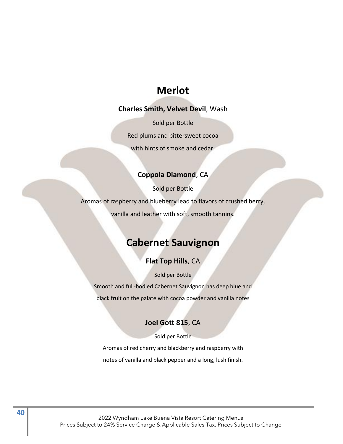# **Merlot**

#### **Charles Smith, Velvet Devil**, Wash

Sold per Bottle Red plums and bittersweet cocoa with hints of smoke and cedar.

#### **Coppola Diamond**, CA

Sold per Bottle

Aromas of raspberry and blueberry lead to flavors of crushed berry,

vanilla and leather with soft, smooth tannins.

# **Cabernet Sauvignon**

#### **Flat Top Hills**, CA

Sold per Bottle

Smooth and full-bodied Cabernet Sauvignon has deep blue and

black fruit on the palate with cocoa powder and vanilla notes

#### **Joel Gott 815**, CA

Sold per Bottle

Aromas of red cherry and blackberry and raspberry with notes of vanilla and black pepper and a long, lush finish.